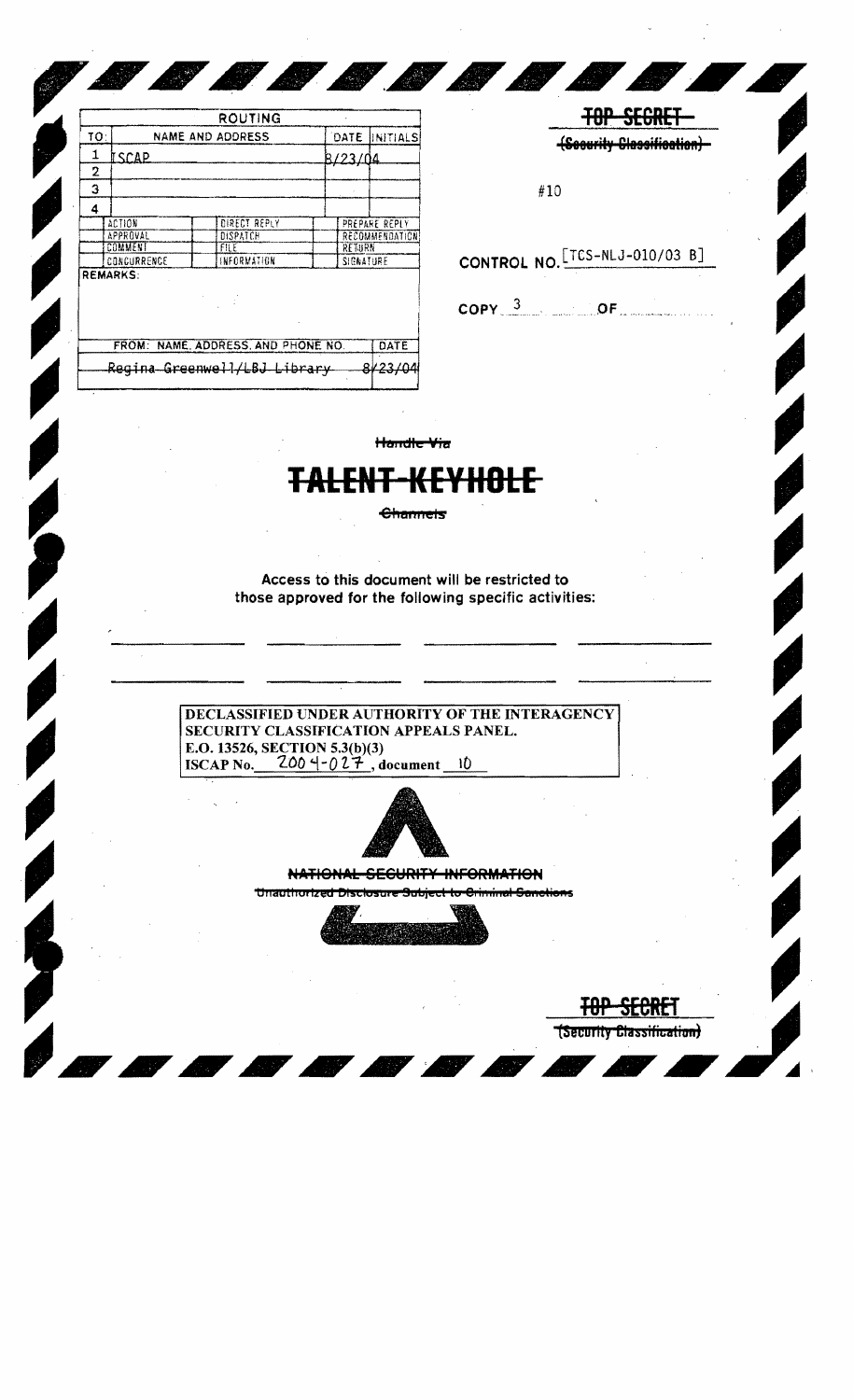|                 |                                   | ROUTING                            |           |                |  |
|-----------------|-----------------------------------|------------------------------------|-----------|----------------|--|
| TO:             |                                   | <b>NAME AND ADDRESS</b>            |           | DATE INITIALS  |  |
| 1               | <u> İSCAP</u>                     |                                    | 8/23/04   |                |  |
| 2               |                                   |                                    |           |                |  |
| з               |                                   |                                    |           |                |  |
| 4               |                                   |                                    |           |                |  |
|                 | ACTION                            | DIRECT REPLY                       |           | PREPARE REPLY  |  |
| <b>APPROVAL</b> |                                   | DISPATCH                           |           | RECOMMENDATION |  |
|                 | COMMENT                           | FILE                               |           | RETURN         |  |
|                 | <b>INFORMATION</b><br>CONCURRENCE |                                    | SIGNATURE |                |  |
|                 | <b>REMARKS:</b>                   |                                    |           |                |  |
|                 |                                   | FROM: NAME, ADDRESS, AND PHONE NO. |           | DATE           |  |
|                 |                                   |                                    |           |                |  |

**TOP SEGRE (Security Classification)** 

(Security Classification)

 $\overline{\phantom{a}}$ 

 $#10$ 

CONTROL NO. TES-NLJ-010/03 B]

 $\mathsf{COPY}$   $3$  OF

Handle Via

*600000* 

## ▓▓▓▓

**Channels** 

Access to this document will be restricted to those approved for the following specific activities:

DECLASSIFIED UNDER AUTHORITY OF THE INTERAGENCY SECURITY CLASSIFICATION APPEALS PANEL. E.O. 13526, SECTION 5.3(b)(3)<br>ISCAP No. 200  $-027$ , document 10



NATIONAL SECURITY INFORMATION Unauthorized Disclosure Subject to Criminal Same

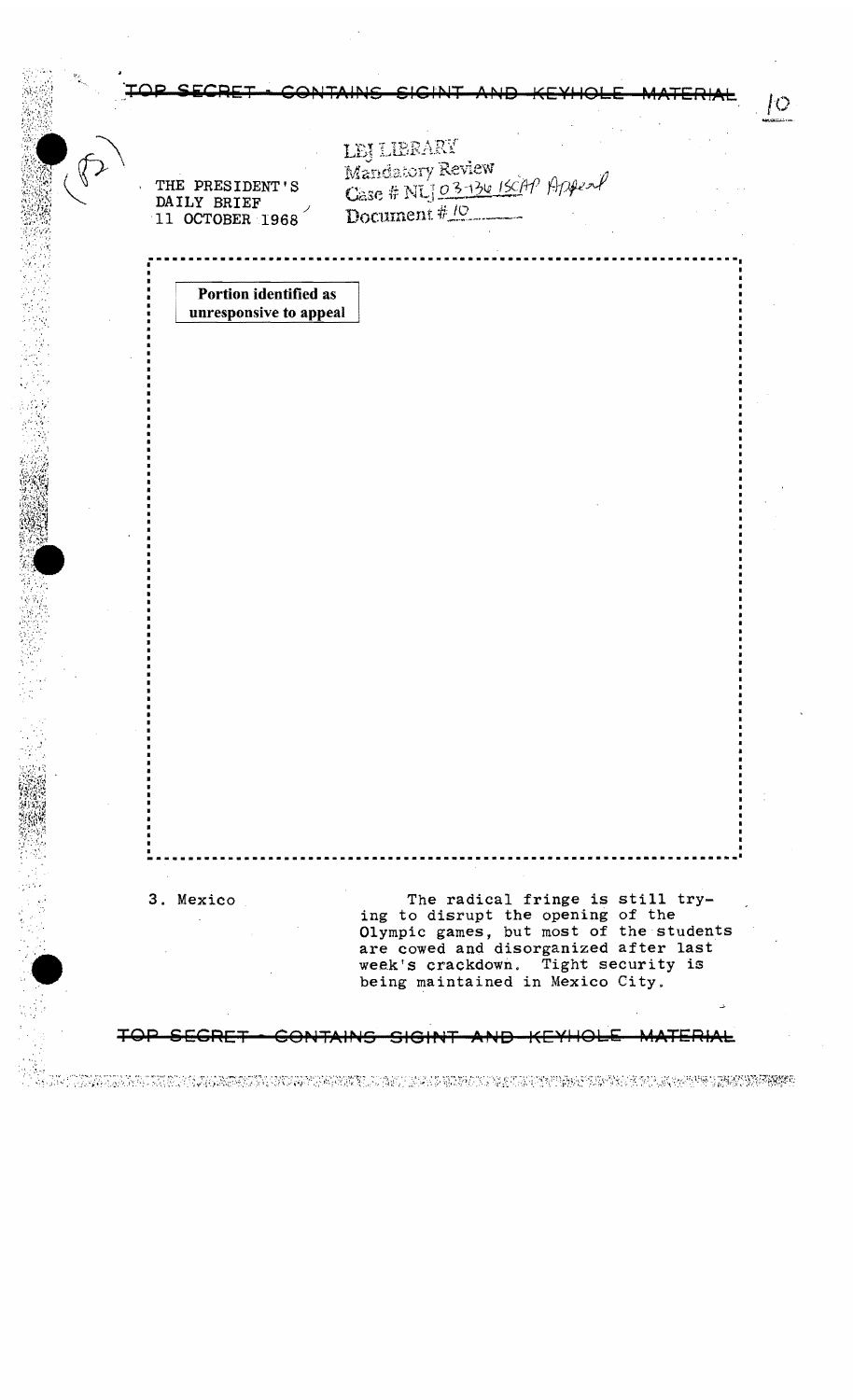CONTAINS SIGINT AND KEYHOLE MATERIAL /0 LEJ LIBRARY Mandatory Review<br>Case # NLJ 03-134 13CAP Appeal<br>Document # 10 THE PRESIDENT'S DAILY BRIEF 11 OCTOBER 1968 Portion identified as unresponsive to appeal **•••••••••••••••••••••••••••••••••••••••••••••••••••••••••••••••••••••••••1**  , $\cdot$ , 3. Mexico The radical fringe is still try-The radical fringe is still<br>ing to disrupt the opening of the  $^{\circ}$  " ing to disrupt the opening of the<br>Olympic games, but most of the students are cowed and disorganized after last week's crackdown. Tight security is being maintained in Mexico City. TOP SECRET - CONTAINS SIGINT AND KEYHOLE MATERIAL DROMA DI KONGRAMMAN KUNA TERKEN ANG PASA KANG PANG SELANG PANG KANG KANG KANG KANG KANG KANG KATANG KATANG KAN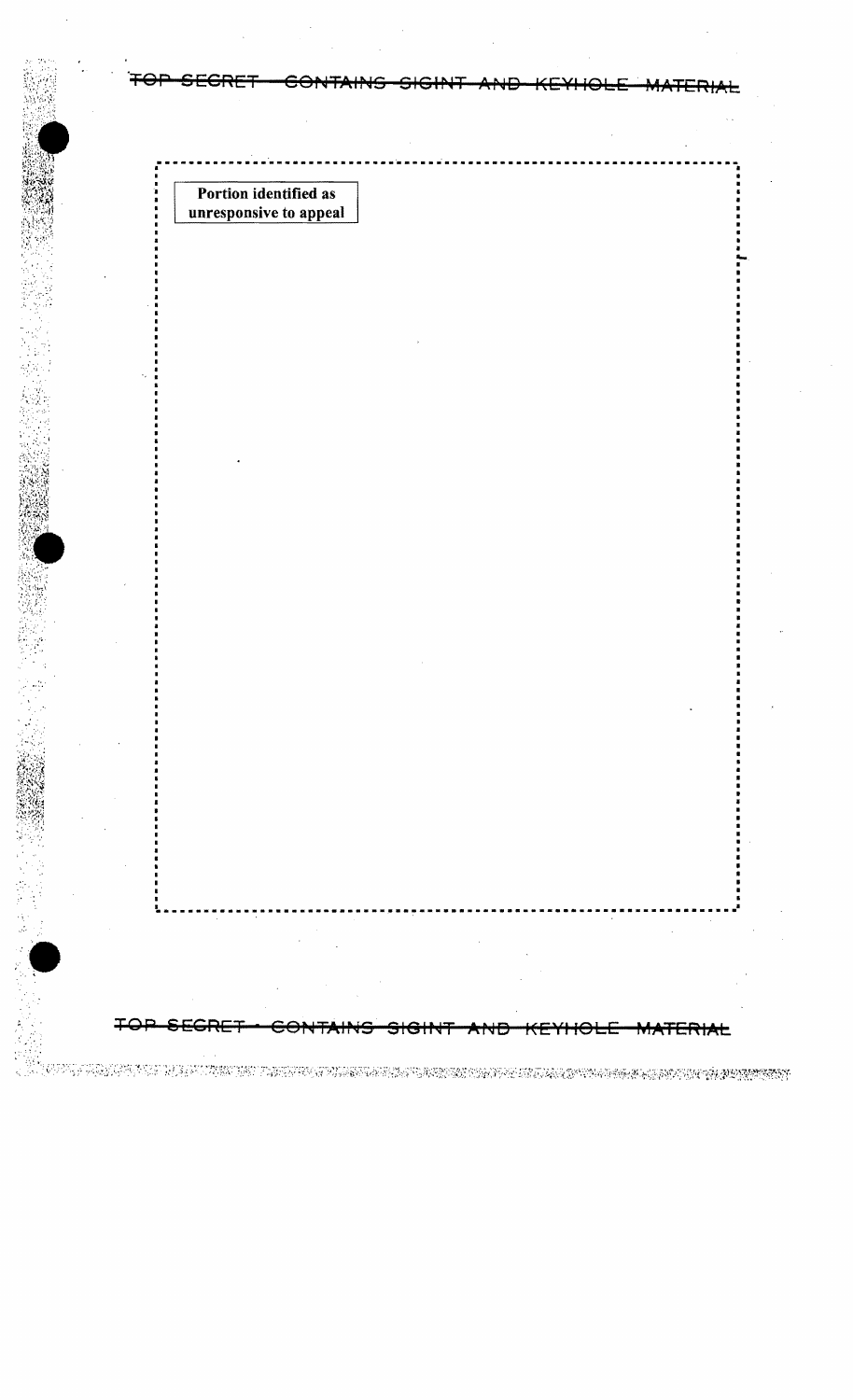Portion identified as unresponsive to appeal

<del>GRE</del> <del>ERIAL</del>

ON DE LA CARDA DE LA CONSUMA DE LA STROLA DI CARDA DEL CONSUMIDADA COLORANA CON CARDA CARDA GRIMANIA EN 1989.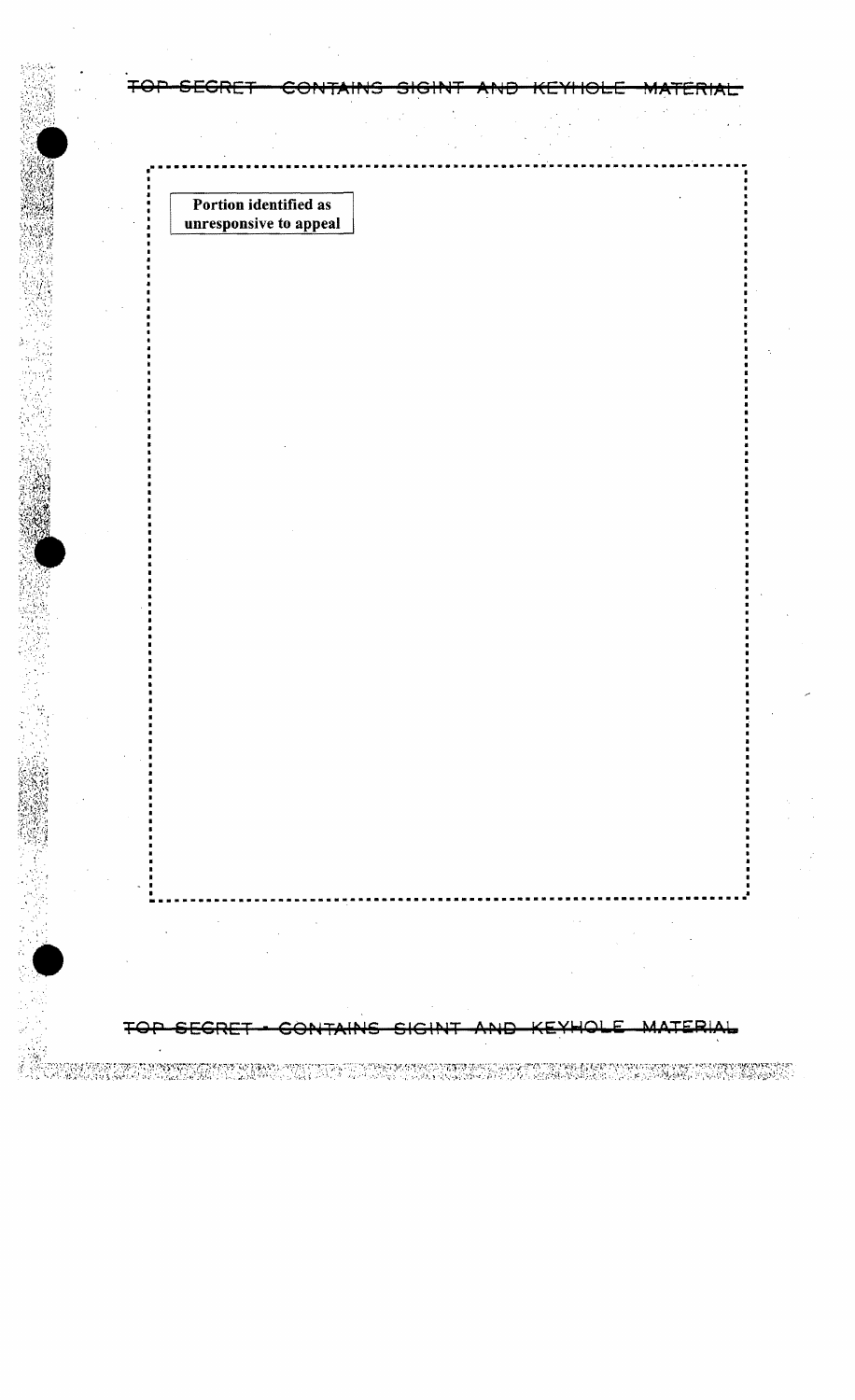Portion identified as unresponsive to appeal

 $\ddot{z}$